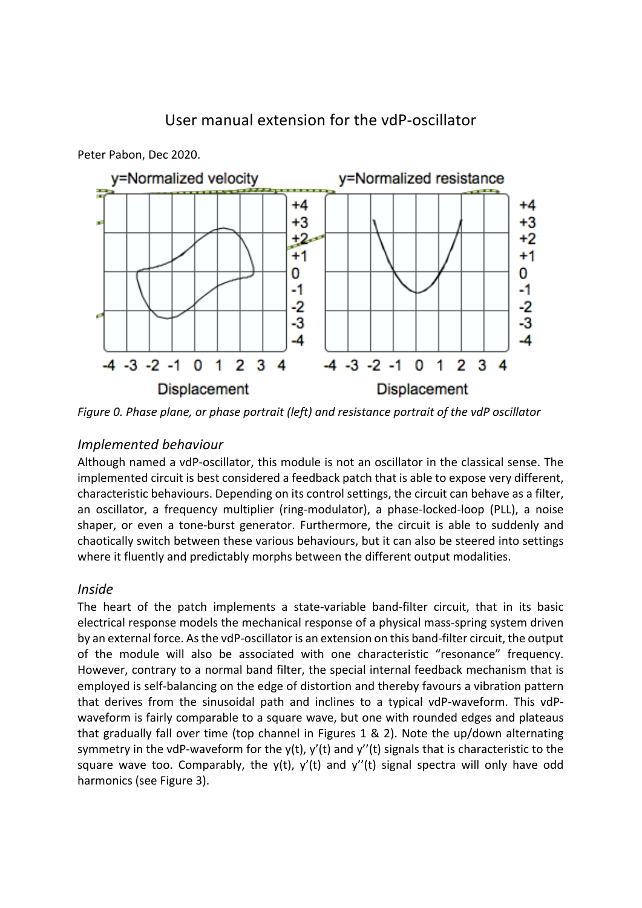# User manual extension for the vdP-oscillator



Peter Pabon, Dec 2020.

*Figure 0. Phase plane, or phase portrait (left) and resistance portrait of the vdP oscillator* 

## *Implemented behaviour*

Although named a vdP-oscillator, this module is not an oscillator in the classical sense. The implemented circuit is best considered a feedback patch that is able to expose very different, characteristic behaviours. Depending on its control settings, the circuit can behave as a filter, an oscillator, a frequency multiplier (ring-modulator), a phase-locked-loop (PLL), a noise shaper, or even a tone-burst generator. Furthermore, the circuit is able to suddenly and chaotically switch between these various behaviours, but it can also be steered into settings where it fluently and predictably morphs between the different output modalities.

## *Inside*

The heart of the patch implements a state-variable band-filter circuit, that in its basic electrical response models the mechanical response of a physical mass-spring system driven by an external force. As the vdP-oscillator is an extension on this band-filter circuit, the output of the module will also be associated with one characteristic "resonance" frequency. However, contrary to a normal band filter, the special internal feedback mechanism that is employed is self-balancing on the edge of distortion and thereby favours a vibration pattern that derives from the sinusoidal path and inclines to a typical vdP-waveform. This vdPwaveform is fairly comparable to a square wave, but one with rounded edges and plateaus that gradually fall over time (top channel in Figures 1 & 2). Note the up/down alternating symmetry in the vdP-waveform for the y(t), y'(t) and y''(t) signals that is characteristic to the square wave too. Comparably, the  $y(t)$ ,  $y'(t)$  and  $y''(t)$  signal spectra will only have odd harmonics (see Figure 3).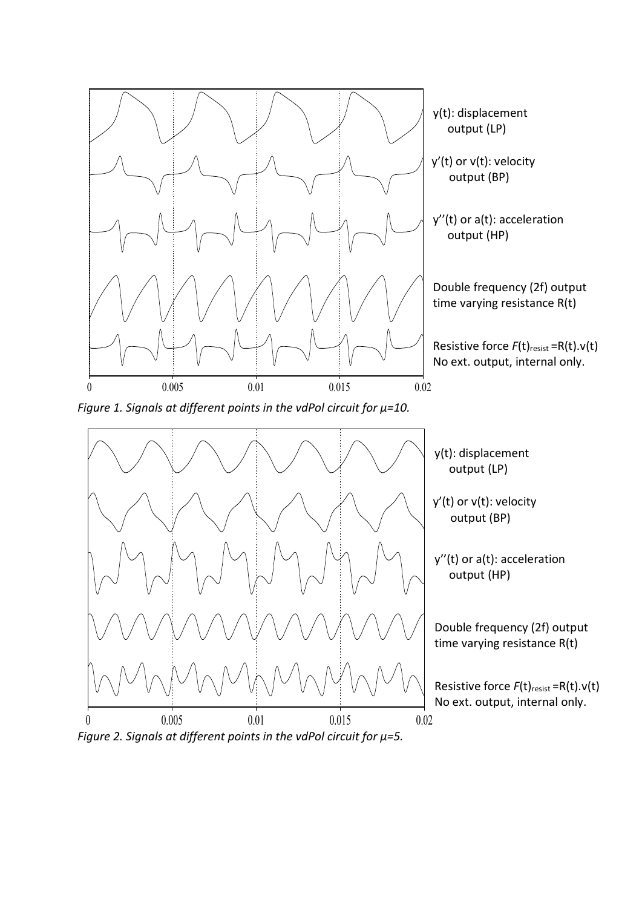



 $y''(t)$  or a(t): acceleration output (HP)

Double frequency (2f) output time varying resistance  $R(t)$ 

Resistive force  $F(t)_{\text{resist}} = R(t) \cdot v(t)$ No ext. output, internal only.

*Figure 2. Signals at different points in the vdPol circuit for μ=5.*

0 0.005 0.01 0.015 0.02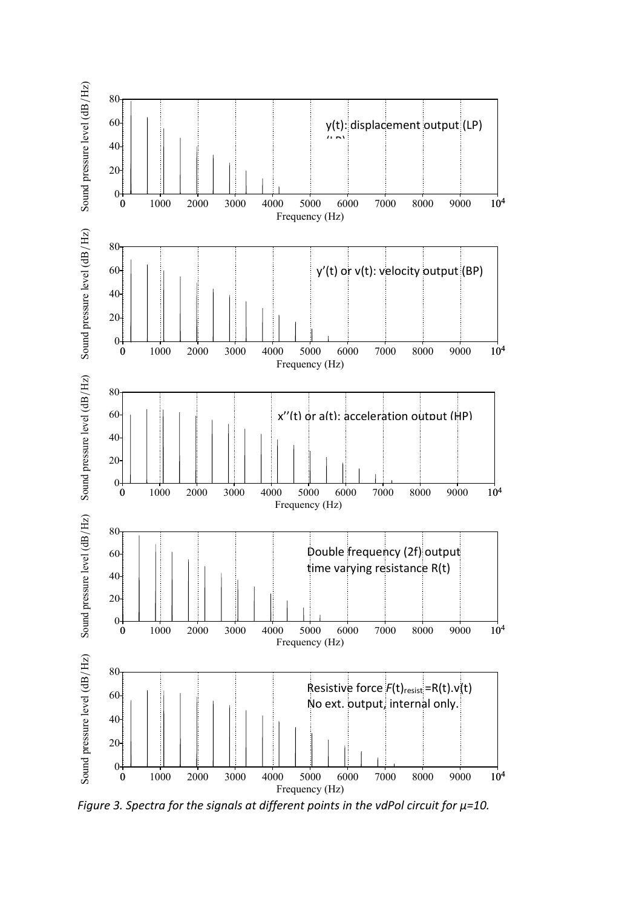

*Figure 3. Spectra for the signals at different points in the vdPol circuit for μ=10.*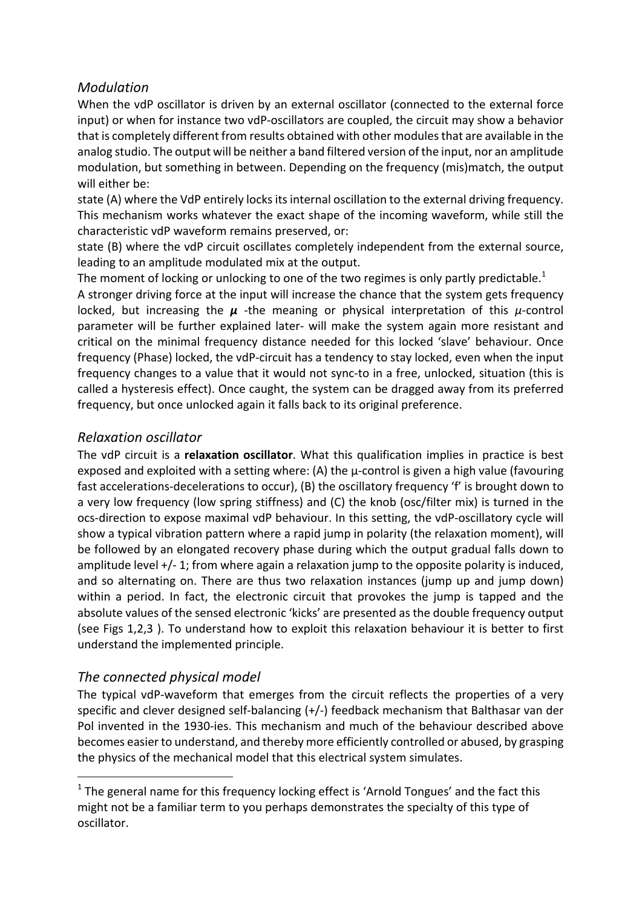## *Modulation*

When the vdP oscillator is driven by an external oscillator (connected to the external force input) or when for instance two vdP-oscillators are coupled, the circuit may show a behavior that is completely different from results obtained with other modules that are available in the analog studio. The output will be neither a band filtered version of the input, nor an amplitude modulation, but something in between. Depending on the frequency (mis)match, the output will either be:

state (A) where the VdP entirely locks its internal oscillation to the external driving frequency. This mechanism works whatever the exact shape of the incoming waveform, while still the characteristic vdP waveform remains preserved, or:

state (B) where the vdP circuit oscillates completely independent from the external source, leading to an amplitude modulated mix at the output.

The moment of locking or unlocking to one of the two regimes is only partly predictable.<sup>1</sup>

A stronger driving force at the input will increase the chance that the system gets frequency locked, but increasing the  $\mu$  -the meaning or physical interpretation of this  $\mu$ -control parameter will be further explained later- will make the system again more resistant and critical on the minimal frequency distance needed for this locked 'slave' behaviour. Once frequency (Phase) locked, the vdP-circuit has a tendency to stay locked, even when the input frequency changes to a value that it would not sync-to in a free, unlocked, situation (this is called a hysteresis effect). Once caught, the system can be dragged away from its preferred frequency, but once unlocked again it falls back to its original preference.

## *Relaxation oscillator*

The vdP circuit is a **relaxation oscillator**. What this qualification implies in practice is best exposed and exploited with a setting where: (A) the  $\mu$ -control is given a high value (favouring fast accelerations-decelerations to occur),  $(B)$  the oscillatory frequency 'f' is brought down to a very low frequency (low spring stiffness) and (C) the knob (osc/filter mix) is turned in the ocs-direction to expose maximal vdP behaviour. In this setting, the vdP-oscillatory cycle will show a typical vibration pattern where a rapid jump in polarity (the relaxation moment), will be followed by an elongated recovery phase during which the output gradual falls down to amplitude level  $+/-$  1; from where again a relaxation jump to the opposite polarity is induced, and so alternating on. There are thus two relaxation instances (jump up and jump down) within a period. In fact, the electronic circuit that provokes the jump is tapped and the absolute values of the sensed electronic 'kicks' are presented as the double frequency output (see Figs 1,2,3). To understand how to exploit this relaxation behaviour it is better to first understand the implemented principle.

## *The connected physical model*

 

The typical vdP-waveform that emerges from the circuit reflects the properties of a very specific and clever designed self-balancing  $(+/-)$  feedback mechanism that Balthasar van der Pol invented in the 1930-ies. This mechanism and much of the behaviour described above becomes easier to understand, and thereby more efficiently controlled or abused, by grasping the physics of the mechanical model that this electrical system simulates.

 $1$  The general name for this frequency locking effect is 'Arnold Tongues' and the fact this might not be a familiar term to you perhaps demonstrates the specialty of this type of oscillator.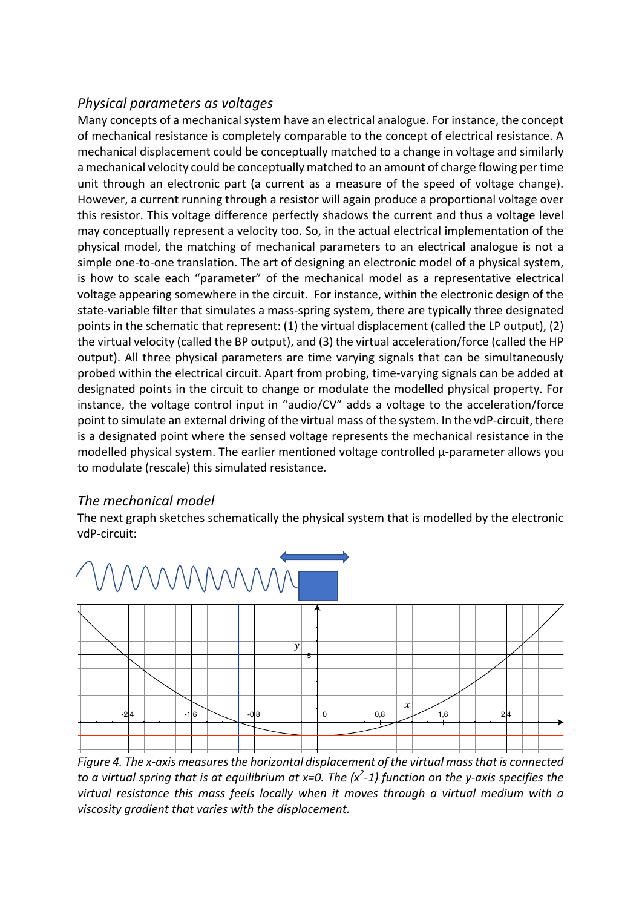## *Physical parameters as voltages*

Many concepts of a mechanical system have an electrical analogue. For instance, the concept of mechanical resistance is completely comparable to the concept of electrical resistance. A mechanical displacement could be conceptually matched to a change in voltage and similarly a mechanical velocity could be conceptually matched to an amount of charge flowing per time unit through an electronic part (a current as a measure of the speed of voltage change). However, a current running through a resistor will again produce a proportional voltage over this resistor. This voltage difference perfectly shadows the current and thus a voltage level may conceptually represent a velocity too. So, in the actual electrical implementation of the physical model, the matching of mechanical parameters to an electrical analogue is not a simple one-to-one translation. The art of designing an electronic model of a physical system, is how to scale each "parameter" of the mechanical model as a representative electrical voltage appearing somewhere in the circuit. For instance, within the electronic design of the state-variable filter that simulates a mass-spring system, there are typically three designated points in the schematic that represent: (1) the virtual displacement (called the LP output), (2) the virtual velocity (called the BP output), and (3) the virtual acceleration/force (called the HP output). All three physical parameters are time varying signals that can be simultaneously probed within the electrical circuit. Apart from probing, time-varying signals can be added at designated points in the circuit to change or modulate the modelled physical property. For instance, the voltage control input in "audio/CV" adds a voltage to the acceleration/force point to simulate an external driving of the virtual mass of the system. In the vdP-circuit, there is a designated point where the sensed voltage represents the mechanical resistance in the modelled physical system. The earlier mentioned voltage controlled  $\mu$ -parameter allows you to modulate (rescale) this simulated resistance.

## *The mechanical model*

The next graph sketches schematically the physical system that is modelled by the electronic vdP-circuit:



*Figure 4. The x-axis measures the horizontal displacement of the virtual mass that is connected to a virtual spring that is at equilibrium at x=0. The*  $(x^2-1)$  *function on the y-axis specifies the virtual resistance this mass feels locally when it moves through a virtual medium with a* viscosity gradient that varies with the displacement.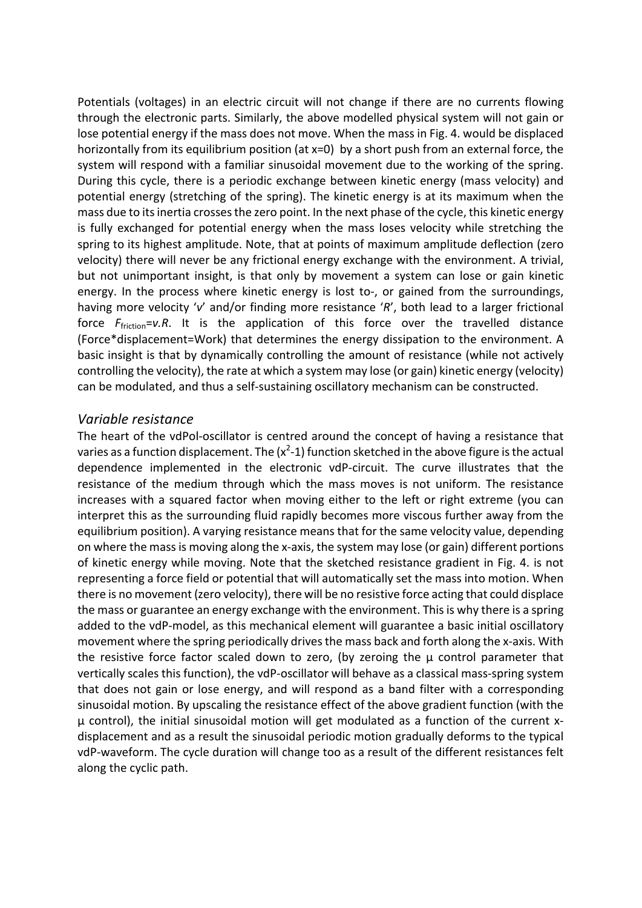Potentials (voltages) in an electric circuit will not change if there are no currents flowing through the electronic parts. Similarly, the above modelled physical system will not gain or lose potential energy if the mass does not move. When the mass in Fig. 4. would be displaced horizontally from its equilibrium position (at  $x=0$ ) by a short push from an external force, the system will respond with a familiar sinusoidal movement due to the working of the spring. During this cycle, there is a periodic exchange between kinetic energy (mass velocity) and potential energy (stretching of the spring). The kinetic energy is at its maximum when the mass due to its inertia crosses the zero point. In the next phase of the cycle, this kinetic energy is fully exchanged for potential energy when the mass loses velocity while stretching the spring to its highest amplitude. Note, that at points of maximum amplitude deflection (zero velocity) there will never be any frictional energy exchange with the environment. A trivial, but not unimportant insight, is that only by movement a system can lose or gain kinetic energy. In the process where kinetic energy is lost to-, or gained from the surroundings, having more velocity 'v' and/or finding more resistance 'R', both lead to a larger frictional force  $F_{\text{friction}}=v.R.$  It is the application of this force over the travelled distance (Force\*displacement=Work) that determines the energy dissipation to the environment. A basic insight is that by dynamically controlling the amount of resistance (while not actively controlling the velocity), the rate at which a system may lose (or gain) kinetic energy (velocity) can be modulated, and thus a self-sustaining oscillatory mechanism can be constructed.

#### *Variable resistance*

The heart of the vdPol-oscillator is centred around the concept of having a resistance that varies as a function displacement. The (x<sup>2</sup>-1) function sketched in the above figure is the actual dependence implemented in the electronic vdP-circuit. The curve illustrates that the resistance of the medium through which the mass moves is not uniform. The resistance increases with a squared factor when moving either to the left or right extreme (you can interpret this as the surrounding fluid rapidly becomes more viscous further away from the equilibrium position). A varying resistance means that for the same velocity value, depending on where the mass is moving along the x-axis, the system may lose (or gain) different portions of kinetic energy while moving. Note that the sketched resistance gradient in Fig. 4. is not representing a force field or potential that will automatically set the mass into motion. When there is no movement (zero velocity), there will be no resistive force acting that could displace the mass or guarantee an energy exchange with the environment. This is why there is a spring added to the vdP-model, as this mechanical element will guarantee a basic initial oscillatory movement where the spring periodically drives the mass back and forth along the x-axis. With the resistive force factor scaled down to zero, (by zeroing the  $\mu$  control parameter that vertically scales this function), the vdP-oscillator will behave as a classical mass-spring system that does not gain or lose energy, and will respond as a band filter with a corresponding sinusoidal motion. By upscaling the resistance effect of the above gradient function (with the  $\mu$  control), the initial sinusoidal motion will get modulated as a function of the current xdisplacement and as a result the sinusoidal periodic motion gradually deforms to the typical vdP-waveform. The cycle duration will change too as a result of the different resistances felt along the cyclic path.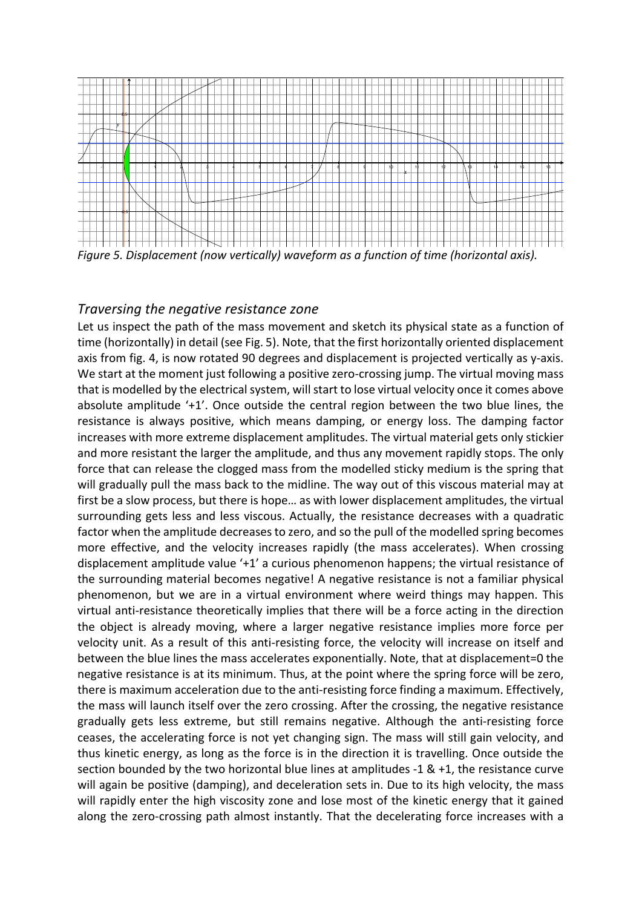

*Figure 5. Displacement (now vertically)* waveform as a function of time (horizontal axis).

#### *Traversing the negative resistance zone*

Let us inspect the path of the mass movement and sketch its physical state as a function of time (horizontally) in detail (see Fig. 5). Note, that the first horizontally oriented displacement axis from fig. 4, is now rotated 90 degrees and displacement is projected vertically as y-axis. We start at the moment just following a positive zero-crossing jump. The virtual moving mass that is modelled by the electrical system, will start to lose virtual velocity once it comes above absolute amplitude '+1'. Once outside the central region between the two blue lines, the resistance is always positive, which means damping, or energy loss. The damping factor increases with more extreme displacement amplitudes. The virtual material gets only stickier and more resistant the larger the amplitude, and thus any movement rapidly stops. The only force that can release the clogged mass from the modelled sticky medium is the spring that will gradually pull the mass back to the midline. The way out of this viscous material may at first be a slow process, but there is hope... as with lower displacement amplitudes, the virtual surrounding gets less and less viscous. Actually, the resistance decreases with a quadratic factor when the amplitude decreases to zero, and so the pull of the modelled spring becomes more effective, and the velocity increases rapidly (the mass accelerates). When crossing displacement amplitude value  $+1'$  a curious phenomenon happens; the virtual resistance of the surrounding material becomes negative! A negative resistance is not a familiar physical phenomenon, but we are in a virtual environment where weird things may happen. This virtual anti-resistance theoretically implies that there will be a force acting in the direction the object is already moving, where a larger negative resistance implies more force per velocity unit. As a result of this anti-resisting force, the velocity will increase on itself and between the blue lines the mass accelerates exponentially. Note, that at displacement=0 the negative resistance is at its minimum. Thus, at the point where the spring force will be zero, there is maximum acceleration due to the anti-resisting force finding a maximum. Effectively, the mass will launch itself over the zero crossing. After the crossing, the negative resistance gradually gets less extreme, but still remains negative. Although the anti-resisting force ceases, the accelerating force is not yet changing sign. The mass will still gain velocity, and thus kinetic energy, as long as the force is in the direction it is travelling. Once outside the section bounded by the two horizontal blue lines at amplitudes  $-1$  &  $+1$ , the resistance curve will again be positive (damping), and deceleration sets in. Due to its high velocity, the mass will rapidly enter the high viscosity zone and lose most of the kinetic energy that it gained along the zero-crossing path almost instantly. That the decelerating force increases with a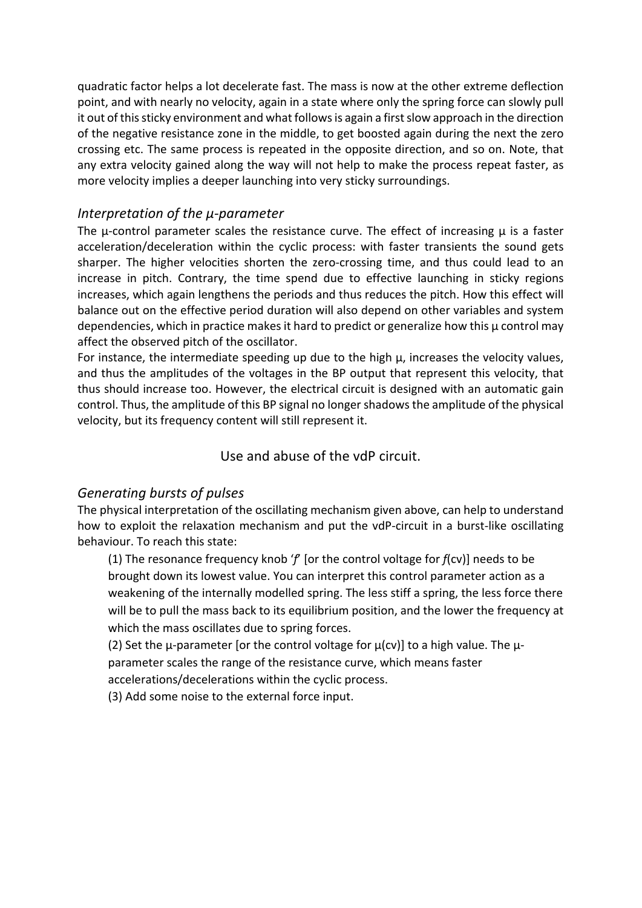quadratic factor helps a lot decelerate fast. The mass is now at the other extreme deflection point, and with nearly no velocity, again in a state where only the spring force can slowly pull it out of this sticky environment and what follows is again a first slow approach in the direction of the negative resistance zone in the middle, to get boosted again during the next the zero crossing etc. The same process is repeated in the opposite direction, and so on. Note, that any extra velocity gained along the way will not help to make the process repeat faster, as more velocity implies a deeper launching into very sticky surroundings.

### *Interpretation of the μ-parameter*

The  $\mu$ -control parameter scales the resistance curve. The effect of increasing  $\mu$  is a faster acceleration/deceleration within the cyclic process: with faster transients the sound gets sharper. The higher velocities shorten the zero-crossing time, and thus could lead to an increase in pitch. Contrary, the time spend due to effective launching in sticky regions increases, which again lengthens the periods and thus reduces the pitch. How this effect will balance out on the effective period duration will also depend on other variables and system dependencies, which in practice makes it hard to predict or generalize how this  $\mu$  control may affect the observed pitch of the oscillator.

For instance, the intermediate speeding up due to the high  $\mu$ , increases the velocity values, and thus the amplitudes of the voltages in the BP output that represent this velocity, that thus should increase too. However, the electrical circuit is designed with an automatic gain control. Thus, the amplitude of this BP signal no longer shadows the amplitude of the physical velocity, but its frequency content will still represent it.

### Use and abuse of the vdP circuit.

### *Generating bursts of pulses*

The physical interpretation of the oscillating mechanism given above, can help to understand how to exploit the relaxation mechanism and put the vdP-circuit in a burst-like oscillating behaviour. To reach this state:

(1) The resonance frequency knob 'f' [or the control voltage for  $f$ (cv)] needs to be brought down its lowest value. You can interpret this control parameter action as a weakening of the internally modelled spring. The less stiff a spring, the less force there will be to pull the mass back to its equilibrium position, and the lower the frequency at which the mass oscillates due to spring forces.

(2) Set the  $\mu$ -parameter [or the control voltage for  $\mu$ (cv)] to a high value. The  $\mu$ parameter scales the range of the resistance curve, which means faster

accelerations/decelerations within the cyclic process.

(3) Add some noise to the external force input.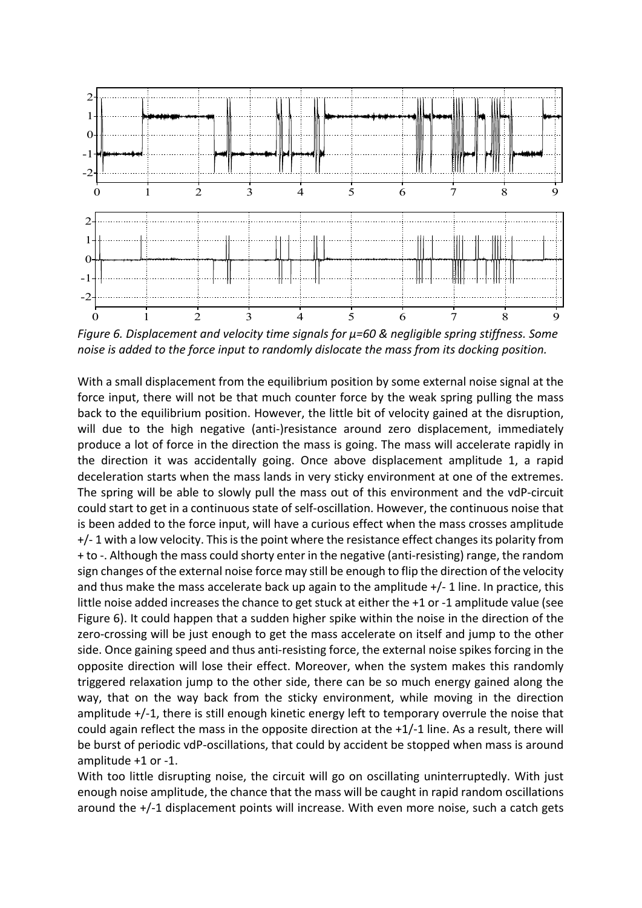

*Figure* 6. Displacement and velocity time signals for  $\mu$ =60 & negligible spring stiffness. Some *noise is added to the force input to randomly dislocate the mass from its docking position.* 

With a small displacement from the equilibrium position by some external noise signal at the force input, there will not be that much counter force by the weak spring pulling the mass back to the equilibrium position. However, the little bit of velocity gained at the disruption, will due to the high negative (anti-)resistance around zero displacement, immediately produce a lot of force in the direction the mass is going. The mass will accelerate rapidly in the direction it was accidentally going. Once above displacement amplitude 1, a rapid deceleration starts when the mass lands in very sticky environment at one of the extremes. The spring will be able to slowly pull the mass out of this environment and the vdP-circuit could start to get in a continuous state of self-oscillation. However, the continuous noise that is been added to the force input, will have a curious effect when the mass crosses amplitude  $+/-$  1 with a low velocity. This is the point where the resistance effect changes its polarity from + to -. Although the mass could shorty enter in the negative (anti-resisting) range, the random sign changes of the external noise force may still be enough to flip the direction of the velocity and thus make the mass accelerate back up again to the amplitude  $+/-1$  line. In practice, this little noise added increases the chance to get stuck at either the  $+1$  or  $-1$  amplitude value (see Figure 6). It could happen that a sudden higher spike within the noise in the direction of the zero-crossing will be just enough to get the mass accelerate on itself and jump to the other side. Once gaining speed and thus anti-resisting force, the external noise spikes forcing in the opposite direction will lose their effect. Moreover, when the system makes this randomly triggered relaxation jump to the other side, there can be so much energy gained along the way, that on the way back from the sticky environment, while moving in the direction amplitude  $+/-1$ , there is still enough kinetic energy left to temporary overrule the noise that could again reflect the mass in the opposite direction at the  $+1/-1$  line. As a result, there will be burst of periodic vdP-oscillations, that could by accident be stopped when mass is around amplitude  $+1$  or  $-1$ .

With too little disrupting noise, the circuit will go on oscillating uninterruptedly. With just enough noise amplitude, the chance that the mass will be caught in rapid random oscillations around the  $+/-1$  displacement points will increase. With even more noise, such a catch gets